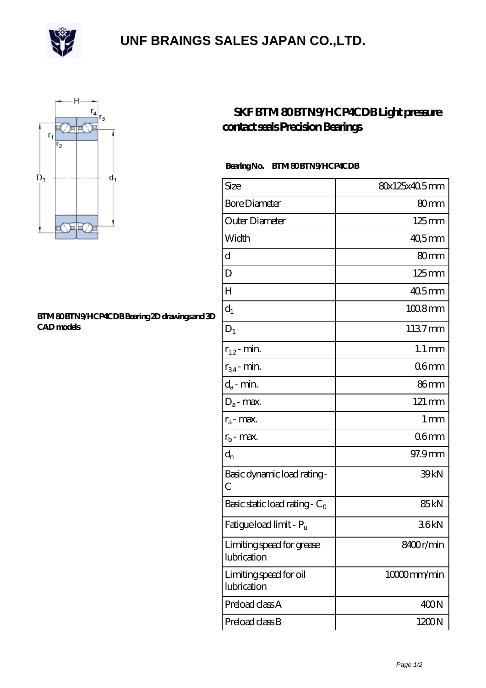

## **[UNF BRAINGS SALES JAPAN CO.,LTD.](https://fotosdetatuajes.org)**



## **[BTM 80 BTN9/HCP4CDB Bearing 2D drawings and 3D](https://fotosdetatuajes.org/pic-144414.html) [CAD models](https://fotosdetatuajes.org/pic-144414.html)**

## **[SKF BTM 80 BTN9/HCP4CDB Light pressure](https://fotosdetatuajes.org/au-144414-skf-btm-80-btn9-hcp4cdb-light-pressure-contact-seals-precision-bearings.html) [contact seals Precision Bearings](https://fotosdetatuajes.org/au-144414-skf-btm-80-btn9-hcp4cdb-light-pressure-contact-seals-precision-bearings.html)**

## Bearing No. BTM 80 BTN9/HCP4CDB

| Size                                     | 80x125x40.5mm       |
|------------------------------------------|---------------------|
| <b>Bore Diameter</b>                     | 80mm                |
| Outer Diameter                           | $125 \text{mm}$     |
| Width                                    | 40,5mm              |
| d                                        | 80mm                |
| D                                        | $125 \text{mm}$     |
| H                                        | $405$ mm            |
| $d_1$                                    | $1008$ mm           |
| $D_1$                                    | 1137mm              |
| $r_{1,2}$ - min.                         | $1.1 \,\mathrm{mm}$ |
| $r_{34}$ - min.                          | 06mm                |
| $d_a$ - min.                             | 86mm                |
| $D_a$ - max.                             | 121 mm              |
| $r_a$ - max.                             | 1 <sub>mm</sub>     |
| $r_{b}$ - max.                           | 06 <sub>mm</sub>    |
| $\mathrm{d}_{\mathrm{n}}$                | 97.9mm              |
| Basic dynamic load rating-<br>С          | 39kN                |
| Basic static load rating - $C_0$         | 85 <sub>kN</sub>    |
| Fatigue load limit - P <sub>u</sub>      | 36kN                |
| Limiting speed for grease<br>lubrication | 8400r/min           |
| Limiting speed for oil<br>lubrication    | $10000$ mm/min      |
| Preload class A                          | 400N                |
| Preload class B                          | 1200N               |